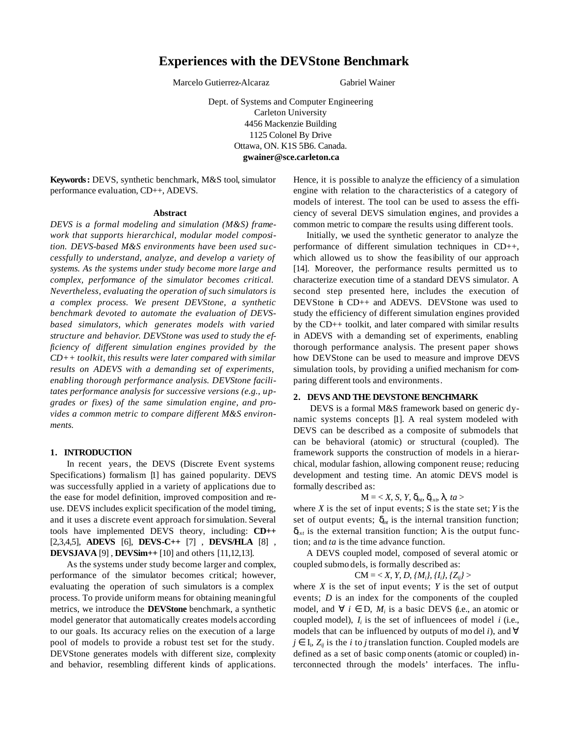# **Experiences with the DEVStone Benchmark**

Marcelo Gutierrez-Alcaraz Gabriel Wainer

Dept. of Systems and Computer Engineering Carleton University 4456 Mackenzie Building 1125 Colonel By Drive Ottawa, ON. K1S 5B6. Canada. **gwainer@sce.carleton.ca**

**Keywords:** DEVS, synthetic benchmark, M&S tool, simulator performance evaluation, CD++, ADEVS.

### **Abstract**

*DEVS is a formal modeling and simulation (M&S) framework that supports hierarchical, modular model composition. DEVS-based M&S environments have been used successfully to understand, analyze, and develop a variety of systems. As the systems under study become more large and complex, performance of the simulator becomes critical. Nevertheless, evaluating the operation of such simulators is a complex process. We present DEVStone, a synthetic benchmark devoted to automate the evaluation of DEVSbased simulators, which generates models with varied structure and behavior. DEVStone was used to study the efficiency of different simulation engines provided by the CD++ toolkit, this results were later compared with similar results on ADEVS with a demanding set of experiments, enabling thorough performance analysis. DEVStone facilitates performance analysis for successive versions (e.g., upgrades or fixes) of the same simulation engine, and provides a common metric to compare different M&S environments.*

### **1. INTRODUCTION**

In recent years, the DEVS (Discrete Event systems Specifications) formalism [1] has gained popularity. DEVS was successfully applied in a variety of applications due to the ease for model definition, improved composition and reuse. DEVS includes explicit specification of the model timing, and it uses a discrete event approach for simulation. Several tools have implemented DEVS theory, including: **CD++** [2,3,4,5], **ADEVS** [6], **DEVS-C++** [7] , **DEVS/HLA** [8] , **DEVSJAVA** [9] , **DEVSim++** [10] and others [11,12,13].

As the systems under study become larger and complex, performance of the simulator becomes critical; however, evaluating the operation of such simulators is a complex process. To provide uniform means for obtaining meaningful metrics, we introduce the **DEVStone** benchmark, a synthetic model generator that automatically creates models according to our goals. Its accuracy relies on the execution of a large pool of models to provide a robust test set for the study. DEVStone generates models with different size, complexity and behavior, resembling different kinds of applications. Hence, it is possible to analyze the efficiency of a simulation engine with relation to the characteristics of a category of models of interest. The tool can be used to assess the efficiency of several DEVS simulation engines, and provides a common metric to compare the results using different tools.

Initially, we used the synthetic generator to analyze the performance of different simulation techniques in CD++, which allowed us to show the feasibility of our approach [14]. Moreover, the performance results permitted us to characterize execution time of a standard DEVS simulator. A second step presented here, includes the execution of DEVStone in CD++ and ADEVS. DEVStone was used to study the efficiency of different simulation engines provided by the CD++ toolkit, and later compared with similar results in ADEVS with a demanding set of experiments, enabling thorough performance analysis. The present paper shows how DEVStone can be used to measure and improve DEVS simulation tools, by providing a unified mechanism for comparing different tools and environments.

### **2. DEVS AND THE DEVSTONE BENCHMARK**

DEVS is a formal M&S framework based on generic dynamic systems concepts [1]. A real system modeled with DEVS can be described as a composite of submodels that can be behavioral (atomic) or structural (coupled). The framework supports the construction of models in a hierarchical, modular fashion, allowing component reuse; reducing development and testing time. An atomic DEVS model is formally described as:

## $M = \langle X, S, Y, \delta_{\text{inb}} \delta_{\text{exb}} \rangle$ *l*, ta >

where  $X$  is the set of input events;  $S$  is the state set;  $Y$  is the set of output events;  $\delta_{int}$  is the internal transition function; δ*ext* is the external transition function; *l* is the output function; and *ta* is the time advance function.

A DEVS coupled model, composed of several atomic or coupled submo dels, is formally described as:

$$
CM = \langle X, Y, D, \{M_i\}, \{I_i\}, \{Z_{ij}\}\rangle
$$

where  $X$  is the set of input events;  $Y$  is the set of output events; *D* is an index for the components of the coupled model, and  $\forall i \in D$ ,  $M_i$  is a basic DEVS (i.e., an atomic or coupled model),  $I_i$  is the set of influencees of model  $i$  (i.e., models that can be influenced by outputs of mo del *i*), and ∀  $j \in I_i$ ,  $Z_{ij}$  is the *i* to *j* translation function. Coupled models are defined as a set of basic comp onents (atomic or coupled) interconnected through the models' interfaces. The influ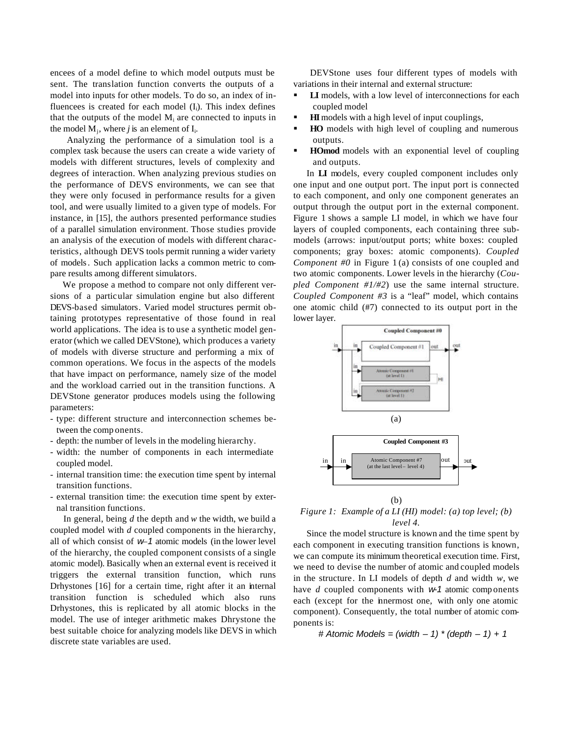encees of a model define to which model outputs must be sent. The translation function converts the outputs of a model into inputs for other models. To do so, an index of influencees is created for each model  $(I_i)$ . This index defines that the outputs of the model  $M_i$  are connected to inputs in the model  $M_j$ , where *j* is an element of  $I_i$ .

Analyzing the performance of a simulation tool is a complex task because the users can create a wide variety of models with different structures, levels of complexity and degrees of interaction. When analyzing previous studies on the performance of DEVS environments, we can see that they were only focused in performance results for a given tool, and were usually limited to a given type of models. For instance, in [15], the authors presented performance studies of a parallel simulation environment. Those studies provide an analysis of the execution of models with different characteristics, although DEVS tools permit running a wider variety of models. Such application lacks a common metric to compare results among different simulators.

We propose a method to compare not only different versions of a particular simulation engine but also different DEVS-based simulators. Varied model structures permit obtaining prototypes representative of those found in real world applications. The idea is to use a synthetic model generator (which we called DEVStone), which produces a variety of models with diverse structure and performing a mix of common operations. We focus in the aspects of the models that have impact on performance, namely size of the model and the workload carried out in the transition functions. A DEVStone generator produces models using the following parameters:

- type: different structure and interconnection schemes between the comp onents.
- depth: the number of levels in the modeling hierarchy.
- width: the number of components in each intermediate coupled model.
- internal transition time: the execution time spent by internal transition functions.
- external transition time: the execution time spent by external transition functions.

In general, being *d* the depth and *w* the width, we build a coupled model with *d* coupled components in the hierarchy, all of which consist of *w*–*1* atomic models (in the lower level of the hierarchy, the coupled component consists of a single atomic model). Basically when an external event is received it triggers the external transition function, which runs Drhystones [16] for a certain time, right after it an internal transition function is scheduled which also runs Drhystones, this is replicated by all atomic blocks in the model. The use of integer arithmetic makes Dhrystone the best suitable choice for analyzing models like DEVS in which discrete state variables are used.

DEVStone uses four different types of models with variations in their internal and external structure:

- **LI** models, with a low level of interconnections for each coupled model
- **HI** models with a high level of input couplings,
- ß **HO** models with high level of coupling and numerous outputs.
- ß **HOmod** models with an exponential level of coupling and outputs.

In **LI** models, every coupled component includes only one input and one output port. The input port is connected to each component, and only one component generates an output through the output port in the external component. Figure 1 shows a sample LI model, in which we have four layers of coupled components, each containing three submodels (arrows: input/output ports; white boxes: coupled components; gray boxes: atomic components). *Coupled Component #0* in Figure 1 (a) consists of one coupled and two atomic components. Lower levels in the hierarchy (*Coupled Component #1/#2*) use the same internal structure. *Coupled Component #3* is a "leaf" model, which contains one atomic child (#7) connected to its output port in the lower layer.



*Figure 1: Example of a LI (HI) model: (a) top level; (b) level 4.*

(b)

Since the model structure is known and the time spent by each component in executing transition functions is known, we can compute its minimum theoretical execution time. First, we need to devise the number of atomic and coupled models in the structure. In LI models of depth *d* and width *w*, we have *d* coupled components with *w-1* atomic comp onents each (except for the innermost one, with only one atomic component). Consequently, the total number of atomic components is:

*# Atomic Models = (width – 1) \* (depth – 1) + 1*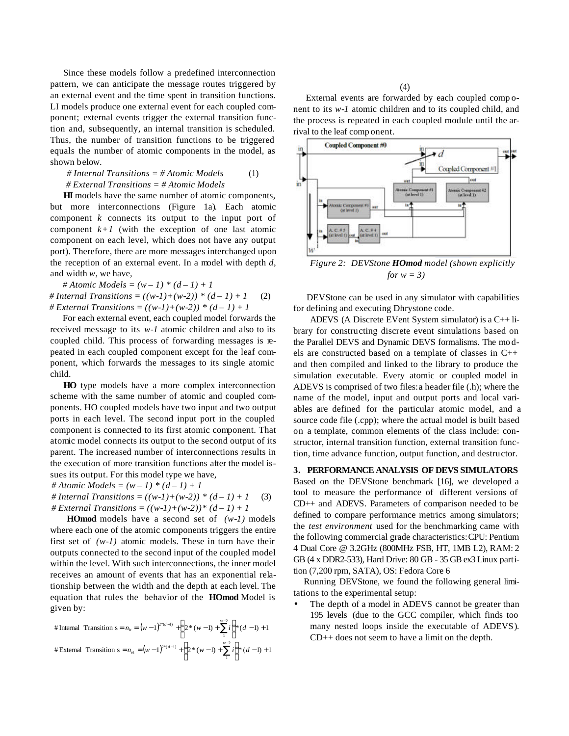Since these models follow a predefined interconnection pattern, we can anticipate the message routes triggered by an external event and the time spent in transition functions. LI models produce one external event for each coupled component; external events trigger the external transition function and, subsequently, an internal transition is scheduled. Thus, the number of transition functions to be triggered equals the number of atomic components in the model, as shown below.

*# Internal Transitions = # Atomic Models # External Transitions = # Atomic Models* (1)

**HI** models have the same number of atomic components, but more interconnections (Figure 1a). Each atomic component *k* connects its output to the input port of component  $k+1$  (with the exception of one last atomic component on each level, which does not have any output port). Therefore, there are more messages interchanged upon the reception of an external event. In a model with depth *d*, and width *w*, we have,

*# Atomic Models = (w – 1) \* (d – 1) + 1* # Internal Transitions =  $((w-1)+(w-2))$  \*  $(d-1)+1$ *# External Transitions = ((w-1)+(w-2)) \* (d – 1) + 1* (2)

For each external event, each coupled model forwards the received message to its *w-1* atomic children and also to its coupled child. This process of forwarding messages is repeated in each coupled component except for the leaf component, which forwards the messages to its single atomic child.

**HO** type models have a more complex interconnection scheme with the same number of atomic and coupled components. HO coupled models have two input and two output ports in each level. The second input port in the coupled component is connected to its first atomic component. That atomic model connects its output to the second output of its parent. The increased number of interconnections results in the execution of more transition functions after the model issues its output. For this model type we have,

# Atomic Models =  $(w - 1) * (d - 1) + 1$ 

# Internal Transitions =  $((w-1)+(w-2)) * (d-1) + 1$ # External Transitions =  $((w-1)+(w-2))$ <sup>\*</sup>  $(d-1)+1$ (3)

**HOmod** models have a second set of *(w-1)* models where each one of the atomic components triggers the entire first set of *(w-1)* atomic models. These in turn have their outputs connected to the second input of the coupled model within the level. With such interconnections, the inner model receives an amount of events that has an exponential relationship between the width and the depth at each level. The equation that rules the behavior of the **HOmod** Model is given by:

# Internal Transition 
$$
s = n_{ii} = (w-1)^{2^{\alpha}(d-1)} + \left(2^{\alpha}(w-1) + \sum_{i=1}^{w-2} i\right)^{\alpha}(d-1) + 1
$$
  
\n# External Transition  $s = n_{ei} = (w-1)^{2^{\alpha}(d-1)} + \left(2^{\alpha}(w-1) + \sum_{i=1}^{w-2} i\right)^{\alpha}(d-1) + 1$ 

(4)

External events are forwarded by each coupled comp onent to its *w-1* atomic children and to its coupled child, and the process is repeated in each coupled module until the arrival to the leaf comp onent.



*Figure 2: DEVStone HOmod model (shown explicitly for w = 3)*

DEVStone can be used in any simulator with capabilities for defining and executing Dhrystone code.

ADEVS (A Discrete EVent System simulator) is a C++ library for constructing discrete event simulations based on the Parallel DEVS and Dynamic DEVS formalisms. The mo dels are constructed based on a template of classes in C++ and then compiled and linked to the library to produce the simulation executable. Every atomic or coupled model in ADEVS is comprised of two files: a header file (.h); where the name of the model, input and output ports and local variables are defined for the particular atomic model, and a source code file (.cpp); where the actual model is built based on a template, common elements of the class include: constructor, internal transition function, external transition function, time advance function, output function, and destructor.

**3. PERFORMANCE ANALYSIS OF DEVS SIMULATORS**

Based on the DEVStone benchmark [16], we developed a tool to measure the performance of different versions of CD++ and ADEVS. Parameters of comparison needed to be defined to compare performance metrics among simulators; the *test environment* used for the benchmarking came with the following commercial grade characteristics:CPU: Pentium 4 Dual Core @ 3.2GHz (800MHz FSB, HT, 1MB L2), RAM: 2 GB (4 x DDR2-533), Hard Drive: 80 GB - 35 GB ex3 Linux partition (7,200 rpm, SATA), OS: Fedora Core 6

 Running DEVStone, we found the following general limitations to the experimental setup:

The depth of a model in ADEVS cannot be greater than 195 levels (due to the GCC compiler, which finds too many nested loops inside the executable of ADEVS). CD++ does not seem to have a limit on the depth.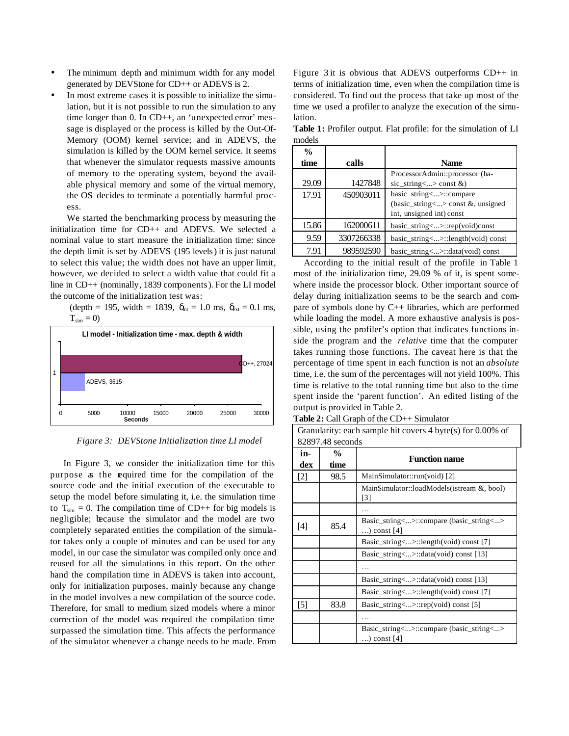- The minimum depth and minimum width for any model generated by DEVStone for CD++ or ADEVS is 2.
- In most extreme cases it is possible to initialize the simulation, but it is not possible to run the simulation to any time longer than 0. In CD++, an 'unexpected error' message is displayed or the process is killed by the Out-Of-Memory (OOM) kernel service; and in ADEVS, the simulation is killed by the OOM kernel service. It seems that whenever the simulator requests massive amounts of memory to the operating system, beyond the available physical memory and some of the virtual memory, the OS decides to terminate a potentially harmful process.

We started the benchmarking process by measuring the initialization time for CD++ and ADEVS. We selected a nominal value to start measure the initialization time: since the depth limit is set by ADEVS (195 levels) it is just natural to select this value; the width does not have an upper limit, however, we decided to select a width value that could fit a line in CD++ (nominally, 1839 components). For the LI model the outcome of the initialization test was:

(depth = 195, width = 1839,  $\delta_{\text{int}} = 1.0 \text{ ms}, \delta_{\text{ext}} = 0.1 \text{ ms}$ ,  $T_{sim} = 0$ 



*Figure 3: DEVStone Initialization time LI model*

In Figure 3, we consider the initialization time for this purpose as the required time for the compilation of the source code and the initial execution of the executable to setup the model before simulating it, i.e. the simulation time to  $T_{sim} = 0$ . The compilation time of CD++ for big models is negligible; because the simulator and the model are two completely separated entities the compilation of the simulator takes only a couple of minutes and can be used for any model, in our case the simulator was compiled only once and reused for all the simulations in this report. On the other hand the compilation time in ADEVS is taken into account, only for initialization purposes, mainly because any change in the model involves a new compilation of the source code. Therefore, for small to medium sized models where a minor correction of the model was required the compilation time surpassed the simulation time. This affects the performance of the simulator whenever a change needs to be made. From Figure 3 it is obvious that ADEVS outperforms  $CD++$  in terms of initialization time, even when the compilation time is considered. To find out the process that take up most of the time we used a profiler to analyze the execution of the simulation.

**Table 1:** Profiler output. Flat profile: for the simulation of LI models

| $\frac{0}{0}$ |            |                                            |
|---------------|------------|--------------------------------------------|
| time          | calls      | <b>Name</b>                                |
|               |            | ProcessorAdmin::processor (ba-             |
| 29.09         | 1427848    | $\text{sic\_string}$ <> const &)           |
| 17.91         | 450903011  | basic_string<>::compare                    |
|               |            | (basic_string<> const &, unsigned          |
|               |            | int, unsigned int) const                   |
| 15.86         | 162000611  | $basic\_string<>\therefore rep(void)const$ |
| 9.59          | 3307266338 | $basic_string<>::length(void)$ const       |
| 7.91          | 989592590  | basic_string<>::data(void) const           |

 According to the initial result of the profile in Table 1 most of the initialization time, 29.09 % of it, is spent somewhere inside the processor block. Other important source of delay during initialization seems to be the search and compare of symbols done by C++ libraries, which are performed while loading the model. A more exhaustive analysis is possible, using the profiler's option that indicates functions inside the program and the *relative* time that the computer takes running those functions. The caveat here is that the percentage of time spent in each function is not an *absolute* time, i.e. the sum of the percentages will not yield 100%. This time is relative to the total running time but also to the time spent inside the 'parent function'. An edited listing of the output is provided in Table 2.

**Table 2:** Call Graph of the CD++ Simulator

Granularity: each sample hit covers 4 byte(s) for 0.00% of 82897.48 seconds

| in-<br>dex | $\frac{0}{0}$<br>time | <b>Function name</b>                                     |
|------------|-----------------------|----------------------------------------------------------|
| $[2]$      | 98.5                  | MainSimulator::run(void) [2]                             |
|            |                       | MainSimulator::loadModels(istream &, bool)<br>[3]        |
|            |                       |                                                          |
| $[4]$      | 85.4                  | Basic_string<>::compare (basic_string<><br>) const $[4]$ |
|            |                       | Basic_string<>::length(void) const [7]                   |
|            |                       | Basic_string<>::data(void) const [13]                    |
|            |                       |                                                          |
|            |                       | Basic_string<>::data(void) const [13]                    |
|            |                       | Basic_string<>::length(void) const [7]                   |
| $[5]$      | 83.8                  | Basic_string<>::rep(void) const [5]                      |
|            |                       |                                                          |
|            |                       | Basic_string<>::compare (basic_string<><br>) const $[4]$ |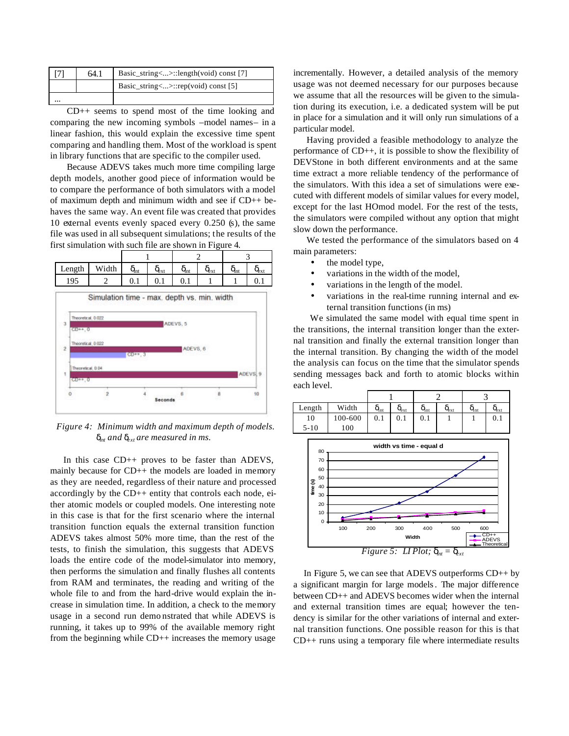|          | 64.1 | Basic_string<>::length(void) const [7] |
|----------|------|----------------------------------------|
|          |      | Basic_string<>::rep(void) const [5]    |
| $\cdots$ |      |                                        |

CD++ seems to spend most of the time looking and comparing the new incoming symbols –model names– in a linear fashion, this would explain the excessive time spent comparing and handling them. Most of the workload is spent in library functions that are specific to the compiler used.

Because ADEVS takes much more time compiling large depth models, another good piece of information would be to compare the performance of both simulators with a model of maximum depth and minimum width and see if CD++ behaves the same way. An event file was created that provides 10 external events evenly spaced every 0.250 (s), the same file was used in all subsequent simulations; the results of the first simulation with such file are shown in Figure 4.





*Figure 4: Minimum width and maximum depth of models. dint and dext are measured in ms.*

In this case CD++ proves to be faster than ADEVS, mainly because for CD++ the models are loaded in memory as they are needed, regardless of their nature and processed accordingly by the CD++ entity that controls each node, either atomic models or coupled models. One interesting note in this case is that for the first scenario where the internal transition function equals the external transition function ADEVS takes almost 50% more time, than the rest of the tests, to finish the simulation, this suggests that ADEVS loads the entire code of the model-simulator into memory, then performs the simulation and finally flushes all contents from RAM and terminates, the reading and writing of the whole file to and from the hard-drive would explain the increase in simulation time. In addition, a check to the memory usage in a second run demo nstrated that while ADEVS is running, it takes up to 99% of the available memory right from the beginning while CD++ increases the memory usage incrementally. However, a detailed analysis of the memory usage was not deemed necessary for our purposes because we assume that all the resources will be given to the simulation during its execution, i.e. a dedicated system will be put in place for a simulation and it will only run simulations of a particular model.

Having provided a feasible methodology to analyze the performance of CD++, it is possible to show the flexibility of DEVStone in both different environments and at the same time extract a more reliable tendency of the performance of the simulators. With this idea a set of simulations were executed with different models of similar values for every model, except for the last HOmod model. For the rest of the tests, the simulators were compiled without any option that might slow down the performance.

We tested the performance of the simulators based on 4 main parameters:

- the model type,
- variations in the width of the model,
- variations in the length of the model.
- variations in the real-time running internal and external transition functions (in ms)

We simulated the same model with equal time spent in the transitions, the internal transition longer than the external transition and finally the external transition longer than the internal transition. By changing the width of the model the analysis can focus on the time that the simulator spends sending messages back and forth to atomic blocks within each level.





In Figure 5, we can see that ADEVS outperforms  $CD++$  by a significant margin for large models. The major difference between CD++ and ADEVS becomes wider when the internal and external transition times are equal; however the tendency is similar for the other variations of internal and external transition functions. One possible reason for this is that CD++ runs using a temporary file where intermediate results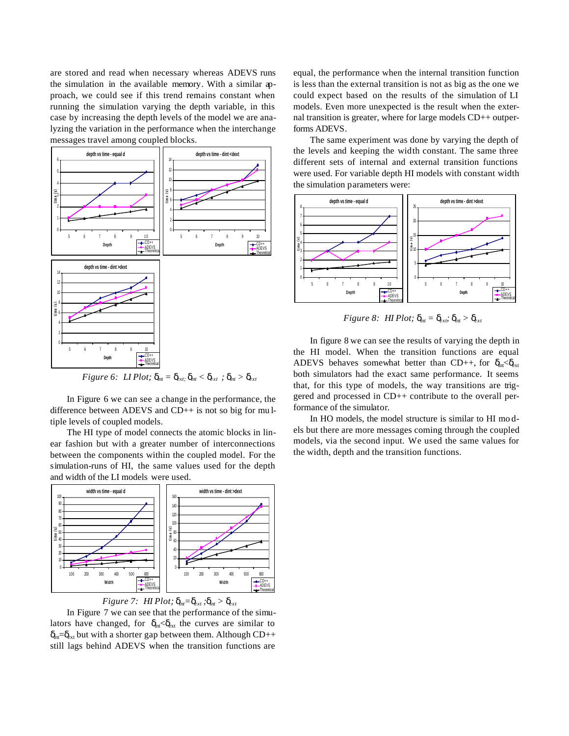are stored and read when necessary whereas ADEVS runs the simulation in the available memory. With a similar approach, we could see if this trend remains constant when running the simulation varying the depth variable, in this case by increasing the depth levels of the model we are analyzing the variation in the performance when the interchange messages travel among coupled blocks.



In Figure 6 we can see a change in the performance, the difference between ADEVS and CD++ is not so big for mu ltiple levels of coupled models.

The HI type of model connects the atomic blocks in linear fashion but with a greater number of interconnections between the components within the coupled model. For the simulation-runs of HI, the same values used for the depth and width of the LI models were used.



*Figure 7: HI Plot;*  $d_{nt} = d_{ext}$ ;  $d_{nt} > d_{ext}$ 

In Figure 7 we can see that the performance of the simulators have changed, for  $\delta_{int} < \delta_{ext}$  the curves are similar to  $\delta_{\rm nt}=\delta_{\rm xt}$  but with a shorter gap between them. Although CD++ still lags behind ADEVS when the transition functions are

equal, the performance when the internal transition function is less than the external transition is not as big as the one we could expect based on the results of the simulation of LI models. Even more unexpected is the result when the external transition is greater, where for large models CD++ outperforms ADEVS.

The same experiment was done by varying the depth of the levels and keeping the width constant. The same three different sets of internal and external transition functions were used. For variable depth HI models with constant width the simulation parameters were:



*Figure 8: HI Plot;*  $\mathbf{d}_{nt} = \mathbf{d}_{crit} \cdot \mathbf{d}_{nt} > \mathbf{d}_{nt}$ 

In figure 8 we can see the results of varying the depth in the HI model. When the transition functions are equal ADEVS behaves somewhat better than CD++, for  $\delta_{nt} < \delta_{xt}$ both simulators had the exact same performance. It seems that, for this type of models, the way transitions are triggered and processed in CD++ contribute to the overall performance of the simulator.

In HO models, the model structure is similar to HI mo dels but there are more messages coming through the coupled models, via the second input. We used the same values for the width, depth and the transition functions.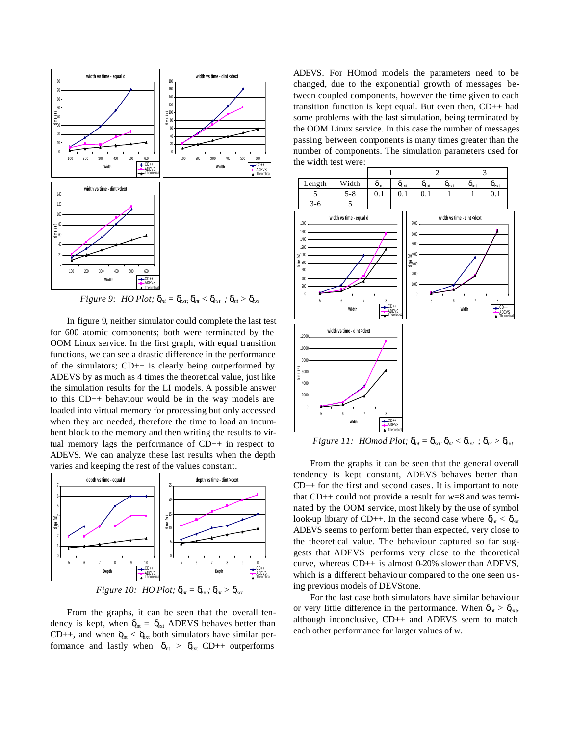

*Figure 9: HO Plot;*  $\mathbf{d}_{nt} = \mathbf{d}_{ext} \cdot \mathbf{d}_{nt} < \mathbf{d}_{xt} \cdot \mathbf{d}_{nt} > \mathbf{d}_{xt}$ 

In figure 9, neither simulator could complete the last test for 600 atomic components; both were terminated by the OOM Linux service. In the first graph, with equal transition functions, we can see a drastic difference in the performance of the simulators;  $CD++$  is clearly being outperformed by ADEVS by as much as 4 times the theoretical value, just like the simulation results for the LI models. A possible answer to this CD++ behaviour would be in the way models are loaded into virtual memory for processing but only accessed when they are needed, therefore the time to load an incumbent block to the memory and then writing the results to virtual memory lags the performance of CD++ in respect to ADEVS. We can analyze these last results when the depth varies and keeping the rest of the values constant.



*Figure 10: HO Plot;*  $\mathbf{d}_{nt} = \mathbf{d}_{xx}$ *;*  $\mathbf{d}_{nt} > \mathbf{d}_{xx}$ 

From the graphs, it can be seen that the overall tendency is kept, when  $\delta_{int} = \delta_{ext}$  ADEVS behaves better than CD++, and when  $\delta_{\text{int}} < \delta_{\text{ext}}$  both simulators have similar performance and lastly when  $\delta_{int} > \delta_{ext}$  CD++ outperforms

ADEVS. For HOmod models the parameters need to be changed, due to the exponential growth of messages between coupled components, however the time given to each transition function is kept equal. But even then, CD++ had some problems with the last simulation, being terminated by the OOM Linux service. In this case the number of messages passing between components is many times greater than the number of components. The simulation parameters used for the width test were:



*Figure 11: HOmod Plot;*  $\mathbf{d}_{nt} = \mathbf{d}_{ext}$ *;*  $\mathbf{d}_{nt} < \mathbf{d}_{ext}$ *;*  $\mathbf{d}_{nt} > \mathbf{d}_{ext}$ 

From the graphs it can be seen that the general overall tendency is kept constant, ADEVS behaves better than CD++ for the first and second cases. It is important to note that CD++ could not provide a result for *w*=8 and was terminated by the OOM service, most likely by the use of symbol look-up library of CD++. In the second case where  $\delta_{\rm nt} < \delta_{\rm ext}$ ADEVS seems to perform better than expected, very close to the theoretical value. The behaviour captured so far suggests that ADEVS performs very close to the theoretical curve, whereas CD++ is almost 0-20% slower than ADEVS, which is a different behaviour compared to the one seen using previous models of DEVStone.

For the last case both simulators have similar behaviour or very little difference in the performance. When  $\delta_{\rm nt} > \delta_{\rm ext}$ , although inconclusive, CD++ and ADEVS seem to match each other performance for larger values of *w*.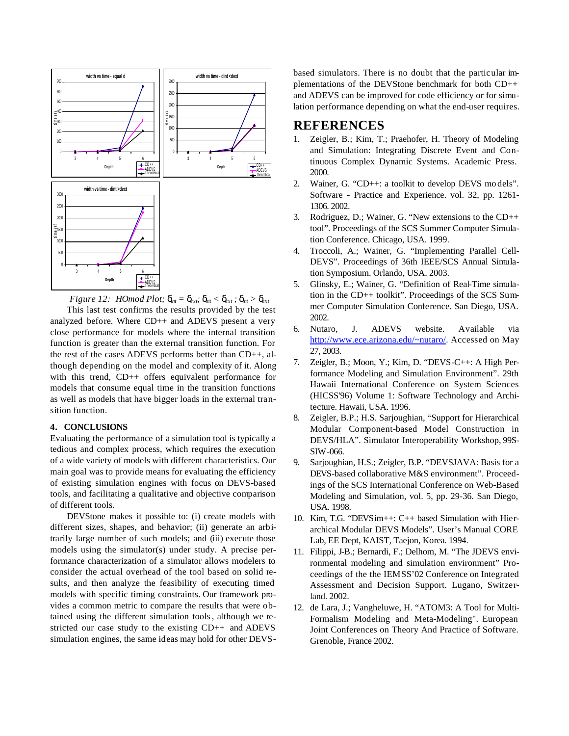

*Figure 12: HOmod Plot;*  $\mathbf{d}_{nt} = \mathbf{d}_{xx}$ *;*  $\mathbf{d}_{nt} < \mathbf{d}_{ext}$ *;*  $\mathbf{d}_{nt} > \mathbf{d}_{ext}$ 

This last test confirms the results provided by the test analyzed before. Where CD++ and ADEVS present a very close performance for models where the internal transition function is greater than the external transition function. For the rest of the cases ADEVS performs better than CD++, although depending on the model and complexity of it. Along with this trend, CD++ offers equivalent performance for models that consume equal time in the transition functions as well as models that have bigger loads in the external transition function.

## **4. CONCLUSIONS**

Evaluating the performance of a simulation tool is typically a tedious and complex process, which requires the execution of a wide variety of models with different characteristics. Our main goal was to provide means for evaluating the efficiency of existing simulation engines with focus on DEVS-based tools, and facilitating a qualitative and objective comparison of different tools.

DEVStone makes it possible to: (i) create models with different sizes, shapes, and behavior; (ii) generate an arbitrarily large number of such models; and (iii) execute those models using the simulator(s) under study. A precise performance characterization of a simulator allows modelers to consider the actual overhead of the tool based on solid results, and then analyze the feasibility of executing timed models with specific timing constraints. Our framework provides a common metric to compare the results that were obtained using the different simulation tools, although we restricted our case study to the existing CD++ and ADEVS simulation engines, the same ideas may hold for other DEVS- based simulators. There is no doubt that the particular implementations of the DEVStone benchmark for both CD++ and ADEVS can be improved for code efficiency or for simulation performance depending on what the end-user requires.

# **REFERENCES**

- 1. Zeigler, B.; Kim, T.; Praehofer, H. Theory of Modeling and Simulation: Integrating Discrete Event and Continuous Complex Dynamic Systems. Academic Press. 2000.
- 2. Wainer, G. "CD++: a toolkit to develop DEVS mo dels". Software - Practice and Experience. vol. 32, pp. 1261- 1306. 2002.
- 3. Rodriguez, D.; Wainer, G. "New extensions to the CD++ tool". Proceedings of the SCS Summer Computer Simulation Conference. Chicago, USA. 1999.
- 4. Troccoli, A.; Wainer, G. "Implementing Parallel Cell-DEVS". Proceedings of 36th IEEE/SCS Annual Simulation Symposium. Orlando, USA. 2003.
- 5. Glinsky, E.; Wainer, G. "Definition of Real-Time simulation in the CD++ toolkit". Proceedings of the SCS Summer Computer Simulation Conference. San Diego, USA. 2002.
- 6. Nutaro, J. ADEVS website. Available via http://www.ece.arizona.edu/~nutaro/. Accessed on May 27, 2003.
- 7. Zeigler, B.; Moon, Y.; Kim, D. "DEVS-C++: A High Performance Modeling and Simulation Environment". 29th Hawaii International Conference on System Sciences (HICSS'96) Volume 1: Software Technology and Architecture. Hawaii, USA. 1996.
- 8. Zeigler, B.P.; H.S. Sarjoughian, "Support for Hierarchical Modular Component-based Model Construction in DEVS/HLA". Simulator Interoperability Workshop, 99S-SIW-066.
- 9. Sarjoughian, H.S.; Zeigler, B.P. "DEVSJAVA: Basis for a DEVS-based collaborative M&S environment". Proceedings of the SCS International Conference on Web-Based Modeling and Simulation, vol. 5, pp. 29-36. San Diego, USA. 1998.
- 10. Kim, T.G. "DEVSim++: C++ based Simulation with Hierarchical Modular DEVS Models". User's Manual CORE Lab, EE Dept, KAIST, Taejon, Korea. 1994.
- 11. Filippi, J-B.; Bernardi, F.; Delhom, M. "The JDEVS environmental modeling and simulation environment" Proceedings of the the IEMSS'02 Conference on Integrated Assessment and Decision Support. Lugano, Switzerland. 2002.
- 12. de Lara, J.; Vangheluwe, H. "ATOM3: A Tool for Multi-Formalism Modeling and Meta-Modeling". European Joint Conferences on Theory And Practice of Software. Grenoble, France 2002.